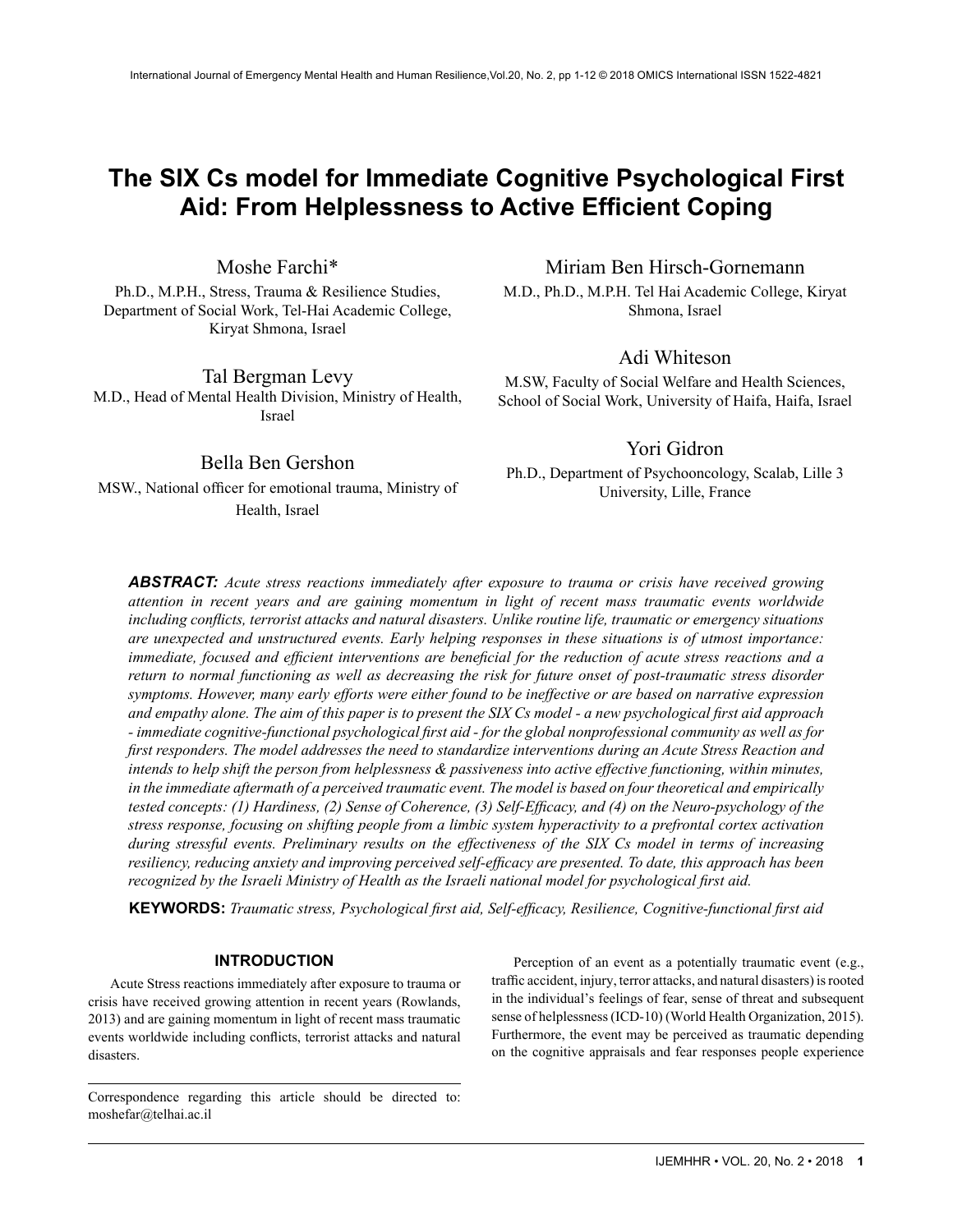# **The SIX Cs model for Immediate Cognitive Psychological First Aid: From Helplessness to Active Efficient Coping**

Moshe Farchi\*

Ph.D., M.P.H., Stress, Trauma & Resilience Studies, Department of Social Work, Tel-Hai Academic College, Kiryat Shmona, Israel

Tal Bergman Levy M.D., Head of Mental Health Division, Ministry of Health, Israel

Miriam Ben Hirsch-Gornemann

M.D., Ph.D., M.P.H. Tel Hai Academic College, Kiryat Shmona, Israel

# Adi Whiteson

M.SW, Faculty of Social Welfare and Health Sciences, School of Social Work, University of Haifa, Haifa, Israel

# Yori Gidron

Ph.D., Department of Psychooncology, Scalab, Lille 3 University, Lille, France

MSW., National officer for emotional trauma, Ministry of Health, Israel

Bella Ben Gershon

*ABSTRACT: Acute stress reactions immediately after exposure to trauma or crisis have received growing attention in recent years and are gaining momentum in light of recent mass traumatic events worldwide including conflicts, terrorist attacks and natural disasters. Unlike routine life, traumatic or emergency situations are unexpected and unstructured events. Early helping responses in these situations is of utmost importance: immediate, focused and efficient interventions are beneficial for the reduction of acute stress reactions and a return to normal functioning as well as decreasing the risk for future onset of post-traumatic stress disorder symptoms. However, many early efforts were either found to be ineffective or are based on narrative expression and empathy alone. The aim of this paper is to present the SIX Cs model - a new psychological first aid approach - immediate cognitive-functional psychological first aid - for the global nonprofessional community as well as for first responders. The model addresses the need to standardize interventions during an Acute Stress Reaction and intends to help shift the person from helplessness & passiveness into active effective functioning, within minutes, in the immediate aftermath of a perceived traumatic event. The model is based on four theoretical and empirically tested concepts: (1) Hardiness, (2) Sense of Coherence, (3) Self-Efficacy, and (4) on the Neuro-psychology of the stress response, focusing on shifting people from a limbic system hyperactivity to a prefrontal cortex activation during stressful events. Preliminary results on the effectiveness of the SIX Cs model in terms of increasing resiliency, reducing anxiety and improving perceived self-efficacy are presented. To date, this approach has been recognized by the Israeli Ministry of Health as the Israeli national model for psychological first aid.*

**KEYWORDS:** *Traumatic stress, Psychological first aid, Self-efficacy, Resilience, Cognitive-functional first aid* 

#### **INTRODUCTION**

Acute Stress reactions immediately after exposure to trauma or crisis have received growing attention in recent years (Rowlands, 2013) and are gaining momentum in light of recent mass traumatic events worldwide including conflicts, terrorist attacks and natural disasters.

Perception of an event as a potentially traumatic event (e.g., traffic accident, injury, terror attacks, and natural disasters) is rooted in the individual's feelings of fear, sense of threat and subsequent sense of helplessness (ICD-10) (World Health Organization, 2015). Furthermore, the event may be perceived as traumatic depending on the cognitive appraisals and fear responses people experience

Correspondence regarding this article should be directed to: moshefar@telhai.ac.il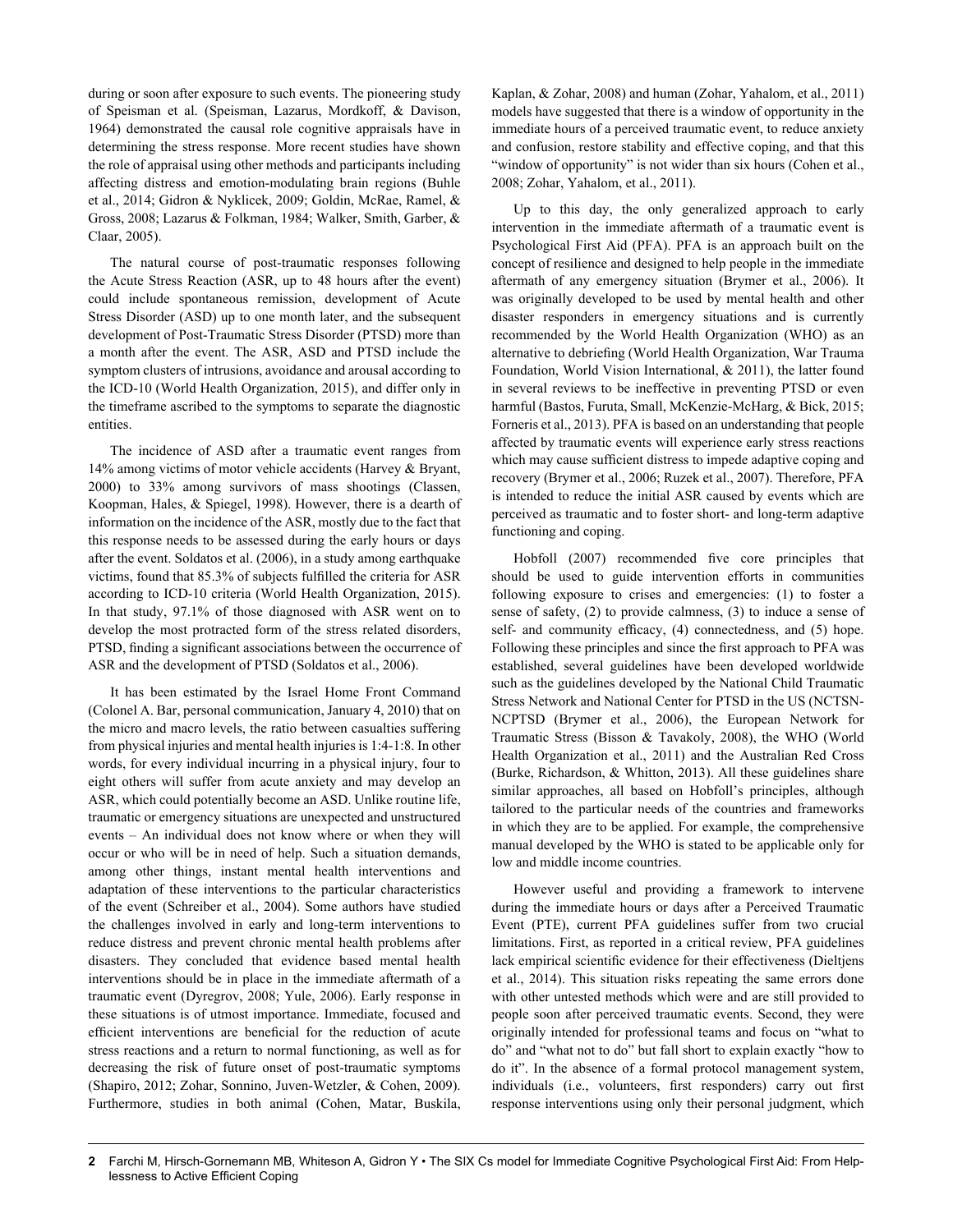during or soon after exposure to such events. The pioneering study of Speisman et al. (Speisman, Lazarus, Mordkoff, & Davison, 1964) demonstrated the causal role cognitive appraisals have in determining the stress response. More recent studies have shown the role of appraisal using other methods and participants including affecting distress and emotion-modulating brain regions (Buhle et al., 2014; Gidron & Nyklicek, 2009; Goldin, McRae, Ramel, & Gross, 2008; Lazarus & Folkman, 1984; Walker, Smith, Garber, & Claar, 2005).

The natural course of post-traumatic responses following the Acute Stress Reaction (ASR, up to 48 hours after the event) could include spontaneous remission, development of Acute Stress Disorder (ASD) up to one month later, and the subsequent development of Post-Traumatic Stress Disorder (PTSD) more than a month after the event. The ASR, ASD and PTSD include the symptom clusters of intrusions, avoidance and arousal according to the ICD-10 (World Health Organization, 2015), and differ only in the timeframe ascribed to the symptoms to separate the diagnostic entities.

The incidence of ASD after a traumatic event ranges from 14% among victims of motor vehicle accidents (Harvey & Bryant, 2000) to 33% among survivors of mass shootings (Classen, Koopman, Hales, & Spiegel, 1998). However, there is a dearth of information on the incidence of the ASR, mostly due to the fact that this response needs to be assessed during the early hours or days after the event. Soldatos et al. (2006), in a study among earthquake victims, found that 85.3% of subjects fulfilled the criteria for ASR according to ICD-10 criteria (World Health Organization, 2015). In that study, 97.1% of those diagnosed with ASR went on to develop the most protracted form of the stress related disorders, PTSD, finding a significant associations between the occurrence of ASR and the development of PTSD (Soldatos et al., 2006).

It has been estimated by the Israel Home Front Command (Colonel A. Bar, personal communication, January 4, 2010) that on the micro and macro levels, the ratio between casualties suffering from physical injuries and mental health injuries is 1:4-1:8. In other words, for every individual incurring in a physical injury, four to eight others will suffer from acute anxiety and may develop an ASR, which could potentially become an ASD. Unlike routine life, traumatic or emergency situations are unexpected and unstructured events – An individual does not know where or when they will occur or who will be in need of help. Such a situation demands, among other things, instant mental health interventions and adaptation of these interventions to the particular characteristics of the event (Schreiber et al., 2004). Some authors have studied the challenges involved in early and long-term interventions to reduce distress and prevent chronic mental health problems after disasters. They concluded that evidence based mental health interventions should be in place in the immediate aftermath of a traumatic event (Dyregrov, 2008; Yule, 2006). Early response in these situations is of utmost importance. Immediate, focused and efficient interventions are beneficial for the reduction of acute stress reactions and a return to normal functioning, as well as for decreasing the risk of future onset of post-traumatic symptoms (Shapiro, 2012; Zohar, Sonnino, Juven-Wetzler, & Cohen, 2009). Furthermore, studies in both animal (Cohen, Matar, Buskila,

Kaplan, & Zohar, 2008) and human (Zohar, Yahalom, et al., 2011) models have suggested that there is a window of opportunity in the immediate hours of a perceived traumatic event, to reduce anxiety and confusion, restore stability and effective coping, and that this "window of opportunity" is not wider than six hours (Cohen et al., 2008; Zohar, Yahalom, et al., 2011).

Up to this day, the only generalized approach to early intervention in the immediate aftermath of a traumatic event is Psychological First Aid (PFA). PFA is an approach built on the concept of resilience and designed to help people in the immediate aftermath of any emergency situation (Brymer et al., 2006). It was originally developed to be used by mental health and other disaster responders in emergency situations and is currently recommended by the World Health Organization (WHO) as an alternative to debriefing (World Health Organization, War Trauma Foundation, World Vision International, & 2011), the latter found in several reviews to be ineffective in preventing PTSD or even harmful (Bastos, Furuta, Small, McKenzie-McHarg, & Bick, 2015; Forneris et al., 2013). PFA is based on an understanding that people affected by traumatic events will experience early stress reactions which may cause sufficient distress to impede adaptive coping and recovery (Brymer et al., 2006; Ruzek et al., 2007). Therefore, PFA is intended to reduce the initial ASR caused by events which are perceived as traumatic and to foster short- and long-term adaptive functioning and coping.

Hobfoll (2007) recommended five core principles that should be used to guide intervention efforts in communities following exposure to crises and emergencies: (1) to foster a sense of safety, (2) to provide calmness, (3) to induce a sense of self- and community efficacy, (4) connectedness, and (5) hope. Following these principles and since the first approach to PFA was established, several guidelines have been developed worldwide such as the guidelines developed by the National Child Traumatic Stress Network and National Center for PTSD in the US (NCTSN-NCPTSD (Brymer et al., 2006), the European Network for Traumatic Stress (Bisson & Tavakoly, 2008), the WHO (World Health Organization et al., 2011) and the Australian Red Cross (Burke, Richardson, & Whitton, 2013). All these guidelines share similar approaches, all based on Hobfoll's principles, although tailored to the particular needs of the countries and frameworks in which they are to be applied. For example, the comprehensive manual developed by the WHO is stated to be applicable only for low and middle income countries.

However useful and providing a framework to intervene during the immediate hours or days after a Perceived Traumatic Event (PTE), current PFA guidelines suffer from two crucial limitations. First, as reported in a critical review, PFA guidelines lack empirical scientific evidence for their effectiveness (Dieltjens et al., 2014). This situation risks repeating the same errors done with other untested methods which were and are still provided to people soon after perceived traumatic events. Second, they were originally intended for professional teams and focus on "what to do" and "what not to do" but fall short to explain exactly "how to do it". In the absence of a formal protocol management system, individuals (i.e., volunteers, first responders) carry out first response interventions using only their personal judgment, which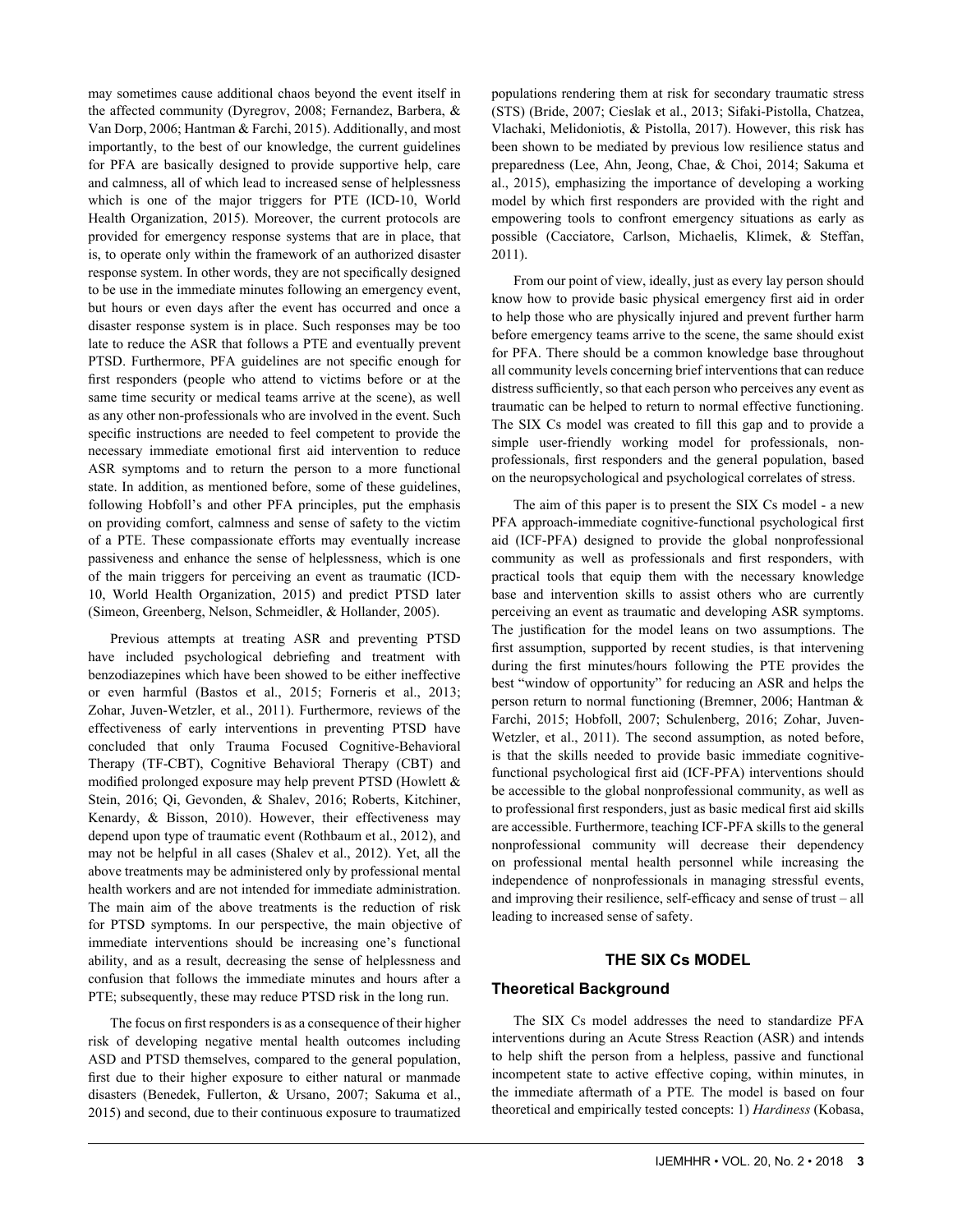may sometimes cause additional chaos beyond the event itself in the affected community (Dyregrov, 2008; Fernandez, Barbera, & Van Dorp, 2006; Hantman & Farchi, 2015). Additionally, and most importantly, to the best of our knowledge, the current guidelines for PFA are basically designed to provide supportive help, care and calmness, all of which lead to increased sense of helplessness which is one of the major triggers for PTE (ICD-10, World Health Organization, 2015). Moreover, the current protocols are provided for emergency response systems that are in place, that is, to operate only within the framework of an authorized disaster response system. In other words, they are not specifically designed to be use in the immediate minutes following an emergency event, but hours or even days after the event has occurred and once a disaster response system is in place. Such responses may be too late to reduce the ASR that follows a PTE and eventually prevent PTSD. Furthermore, PFA guidelines are not specific enough for first responders (people who attend to victims before or at the same time security or medical teams arrive at the scene), as well as any other non-professionals who are involved in the event. Such specific instructions are needed to feel competent to provide the necessary immediate emotional first aid intervention to reduce ASR symptoms and to return the person to a more functional state. In addition, as mentioned before, some of these guidelines, following Hobfoll's and other PFA principles, put the emphasis on providing comfort, calmness and sense of safety to the victim of a PTE. These compassionate efforts may eventually increase passiveness and enhance the sense of helplessness, which is one of the main triggers for perceiving an event as traumatic (ICD-10, World Health Organization, 2015) and predict PTSD later (Simeon, Greenberg, Nelson, Schmeidler, & Hollander, 2005).

Previous attempts at treating ASR and preventing PTSD have included psychological debriefing and treatment with benzodiazepines which have been showed to be either ineffective or even harmful (Bastos et al., 2015; Forneris et al., 2013; Zohar, Juven-Wetzler, et al., 2011). Furthermore, reviews of the effectiveness of early interventions in preventing PTSD have concluded that only Trauma Focused Cognitive-Behavioral Therapy (TF-CBT), Cognitive Behavioral Therapy (CBT) and modified prolonged exposure may help prevent PTSD (Howlett & Stein, 2016; Qi, Gevonden, & Shalev, 2016; Roberts, Kitchiner, Kenardy, & Bisson, 2010). However, their effectiveness may depend upon type of traumatic event (Rothbaum et al., 2012), and may not be helpful in all cases (Shalev et al., 2012). Yet, all the above treatments may be administered only by professional mental health workers and are not intended for immediate administration. The main aim of the above treatments is the reduction of risk for PTSD symptoms. In our perspective, the main objective of immediate interventions should be increasing one's functional ability, and as a result, decreasing the sense of helplessness and confusion that follows the immediate minutes and hours after a PTE; subsequently, these may reduce PTSD risk in the long run.

The focus on first responders is as a consequence of their higher risk of developing negative mental health outcomes including ASD and PTSD themselves, compared to the general population, first due to their higher exposure to either natural or manmade disasters (Benedek, Fullerton, & Ursano, 2007; Sakuma et al., 2015) and second, due to their continuous exposure to traumatized

populations rendering them at risk for secondary traumatic stress (STS) (Bride, 2007; Cieslak et al., 2013; Sifaki-Pistolla, Chatzea, Vlachaki, Melidoniotis, & Pistolla, 2017). However, this risk has been shown to be mediated by previous low resilience status and preparedness (Lee, Ahn, Jeong, Chae, & Choi, 2014; Sakuma et al., 2015), emphasizing the importance of developing a working model by which first responders are provided with the right and empowering tools to confront emergency situations as early as possible (Cacciatore, Carlson, Michaelis, Klimek, & Steffan, 2011).

From our point of view, ideally, just as every lay person should know how to provide basic physical emergency first aid in order to help those who are physically injured and prevent further harm before emergency teams arrive to the scene, the same should exist for PFA. There should be a common knowledge base throughout all community levels concerning brief interventions that can reduce distress sufficiently, so that each person who perceives any event as traumatic can be helped to return to normal effective functioning. The SIX Cs model was created to fill this gap and to provide a simple user-friendly working model for professionals, nonprofessionals, first responders and the general population, based on the neuropsychological and psychological correlates of stress.

The aim of this paper is to present the SIX Cs model - a new PFA approach-immediate cognitive-functional psychological first aid (ICF-PFA) designed to provide the global nonprofessional community as well as professionals and first responders, with practical tools that equip them with the necessary knowledge base and intervention skills to assist others who are currently perceiving an event as traumatic and developing ASR symptoms. The justification for the model leans on two assumptions. The first assumption, supported by recent studies, is that intervening during the first minutes/hours following the PTE provides the best "window of opportunity" for reducing an ASR and helps the person return to normal functioning (Bremner, 2006; Hantman & Farchi, 2015; Hobfoll, 2007; Schulenberg, 2016; Zohar, Juven-Wetzler, et al., 2011). The second assumption, as noted before, is that the skills needed to provide basic immediate cognitivefunctional psychological first aid (ICF-PFA) interventions should be accessible to the global nonprofessional community, as well as to professional first responders, just as basic medical first aid skills are accessible. Furthermore, teaching ICF-PFA skills to the general nonprofessional community will decrease their dependency on professional mental health personnel while increasing the independence of nonprofessionals in managing stressful events, and improving their resilience, self-efficacy and sense of trust – all leading to increased sense of safety.

## **THE SIX Cs MODEL**

# **Theoretical Background**

The SIX Cs model addresses the need to standardize PFA interventions during an Acute Stress Reaction (ASR) and intends to help shift the person from a helpless, passive and functional incompetent state to active effective coping, within minutes, in the immediate aftermath of a PTE*.* The model is based on four theoretical and empirically tested concepts: 1) *Hardiness* (Kobasa,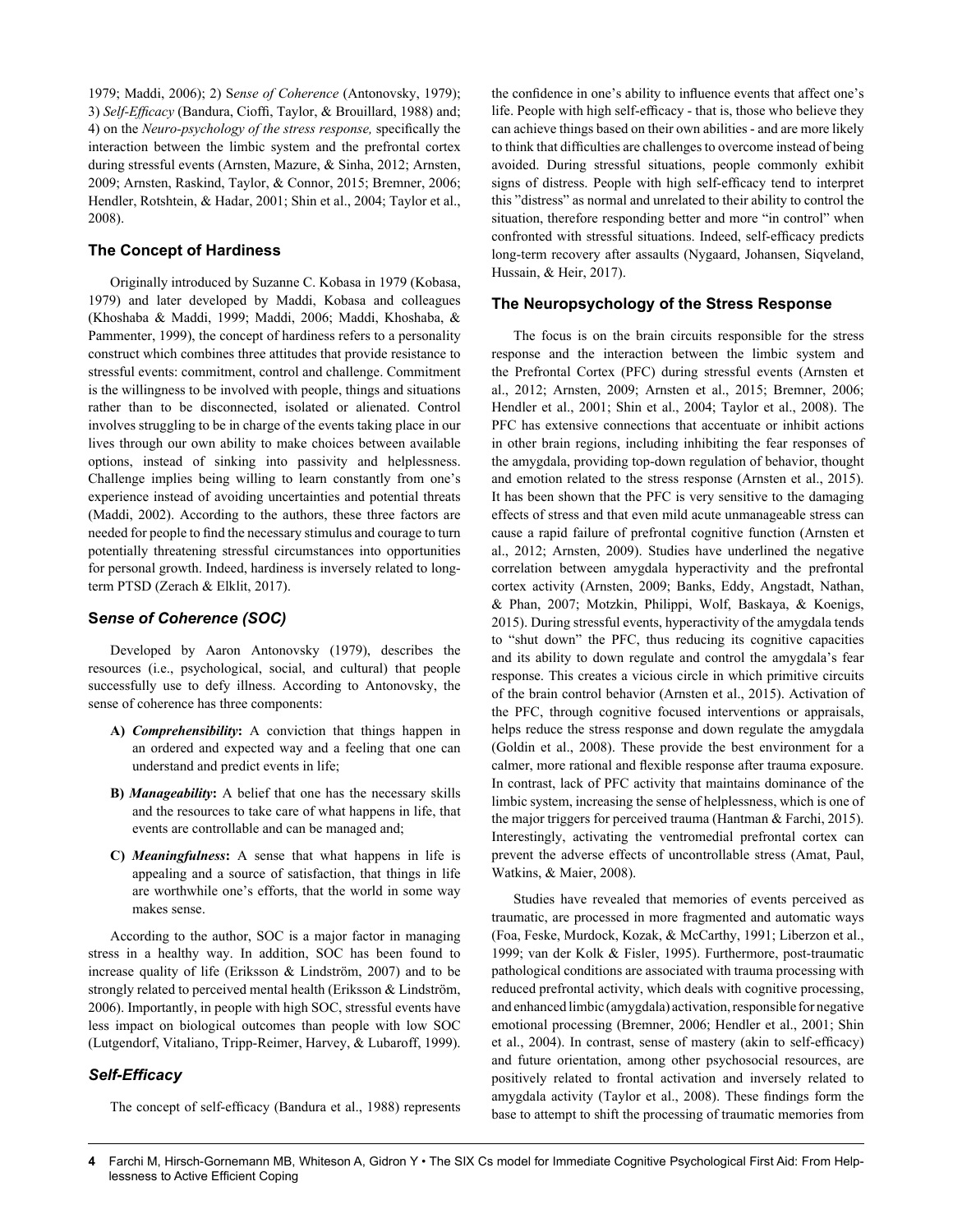1979; Maddi, 2006); 2) S*ense of Coherence* (Antonovsky, 1979); 3) *Self-Efficacy* (Bandura, Cioffi, Taylor, & Brouillard, 1988) and; 4) on the *Neuro-psychology of the stress response,* specifically the interaction between the limbic system and the prefrontal cortex during stressful events (Arnsten, Mazure, & Sinha, 2012; Arnsten, 2009; Arnsten, Raskind, Taylor, & Connor, 2015; Bremner, 2006; Hendler, Rotshtein, & Hadar, 2001; Shin et al., 2004; Taylor et al., 2008).

## **The Concept of Hardiness**

Originally introduced by Suzanne C. Kobasa in 1979 (Kobasa, 1979) and later developed by Maddi, Kobasa and colleagues (Khoshaba & Maddi, 1999; Maddi, 2006; Maddi, Khoshaba, & Pammenter, 1999), the concept of hardiness refers to a personality construct which combines three attitudes that provide resistance to stressful events: commitment, control and challenge. Commitment is the willingness to be involved with people, things and situations rather than to be disconnected, isolated or alienated. Control involves struggling to be in charge of the events taking place in our lives through our own ability to make choices between available options, instead of sinking into passivity and helplessness. Challenge implies being willing to learn constantly from one's experience instead of avoiding uncertainties and potential threats (Maddi, 2002). According to the authors, these three factors are needed for people to find the necessary stimulus and courage to turn potentially threatening stressful circumstances into opportunities for personal growth. Indeed, hardiness is inversely related to longterm PTSD (Zerach & Elklit, 2017).

## **S***ense of Coherence (SOC)*

Developed by Aaron Antonovsky (1979), describes the resources (i.e., psychological, social, and cultural) that people successfully use to defy illness. According to Antonovsky, the sense of coherence has three components:

- **A)** *Comprehensibility***:** A conviction that things happen in an ordered and expected way and a feeling that one can understand and predict events in life;
- **B)** *Manageability***:** A belief that one has the necessary skills and the resources to take care of what happens in life, that events are controllable and can be managed and;
- **C)** *Meaningfulness***:** A sense that what happens in life is appealing and a source of satisfaction, that things in life are worthwhile one's efforts, that the world in some way makes sense.

According to the author, SOC is a major factor in managing stress in a healthy way. In addition, SOC has been found to increase quality of life (Eriksson & Lindström, 2007) and to be strongly related to perceived mental health (Eriksson & Lindström, 2006). Importantly, in people with high SOC, stressful events have less impact on biological outcomes than people with low SOC (Lutgendorf, Vitaliano, Tripp-Reimer, Harvey, & Lubaroff, 1999).

## *Self-Efficacy*

The concept of self-efficacy (Bandura et al., 1988) represents

the confidence in one's ability to influence events that affect one's life. People with high self-efficacy - that is, those who believe they can achieve things based on their own abilities - and are more likely to think that difficulties are challenges to overcome instead of being avoided. During stressful situations, people commonly exhibit signs of distress. People with high self-efficacy tend to interpret this "distress" as normal and unrelated to their ability to control the situation, therefore responding better and more "in control" when confronted with stressful situations. Indeed, self-efficacy predicts long-term recovery after assaults (Nygaard, Johansen, Siqveland, Hussain, & Heir, 2017).

#### **The Neuropsychology of the Stress Response**

The focus is on the brain circuits responsible for the stress response and the interaction between the limbic system and the Prefrontal Cortex (PFC) during stressful events (Arnsten et al., 2012; Arnsten, 2009; Arnsten et al., 2015; Bremner, 2006; Hendler et al., 2001; Shin et al., 2004; Taylor et al., 2008). The PFC has extensive connections that accentuate or inhibit actions in other brain regions, including inhibiting the fear responses of the amygdala, providing top-down regulation of behavior, thought and emotion related to the stress response (Arnsten et al., 2015). It has been shown that the PFC is very sensitive to the damaging effects of stress and that even mild acute unmanageable stress can cause a rapid failure of prefrontal cognitive function (Arnsten et al., 2012; Arnsten, 2009). Studies have underlined the negative correlation between amygdala hyperactivity and the prefrontal cortex activity (Arnsten, 2009; Banks, Eddy, Angstadt, Nathan, & Phan, 2007; Motzkin, Philippi, Wolf, Baskaya, & Koenigs, 2015). During stressful events, hyperactivity of the amygdala tends to "shut down" the PFC, thus reducing its cognitive capacities and its ability to down regulate and control the amygdala's fear response. This creates a vicious circle in which primitive circuits of the brain control behavior (Arnsten et al., 2015). Activation of the PFC, through cognitive focused interventions or appraisals, helps reduce the stress response and down regulate the amygdala (Goldin et al., 2008). These provide the best environment for a calmer, more rational and flexible response after trauma exposure. In contrast, lack of PFC activity that maintains dominance of the limbic system, increasing the sense of helplessness, which is one of the major triggers for perceived trauma (Hantman & Farchi, 2015). Interestingly, activating the ventromedial prefrontal cortex can prevent the adverse effects of uncontrollable stress (Amat, Paul, Watkins, & Maier, 2008).

Studies have revealed that memories of events perceived as traumatic, are processed in more fragmented and automatic ways (Foa, Feske, Murdock, Kozak, & McCarthy, 1991; Liberzon et al., 1999; van der Kolk & Fisler, 1995). Furthermore, post-traumatic pathological conditions are associated with trauma processing with reduced prefrontal activity, which deals with cognitive processing, and enhanced limbic (amygdala) activation, responsible for negative emotional processing (Bremner, 2006; Hendler et al., 2001; Shin et al., 2004). In contrast, sense of mastery (akin to self-efficacy) and future orientation, among other psychosocial resources, are positively related to frontal activation and inversely related to amygdala activity (Taylor et al., 2008). These findings form the base to attempt to shift the processing of traumatic memories from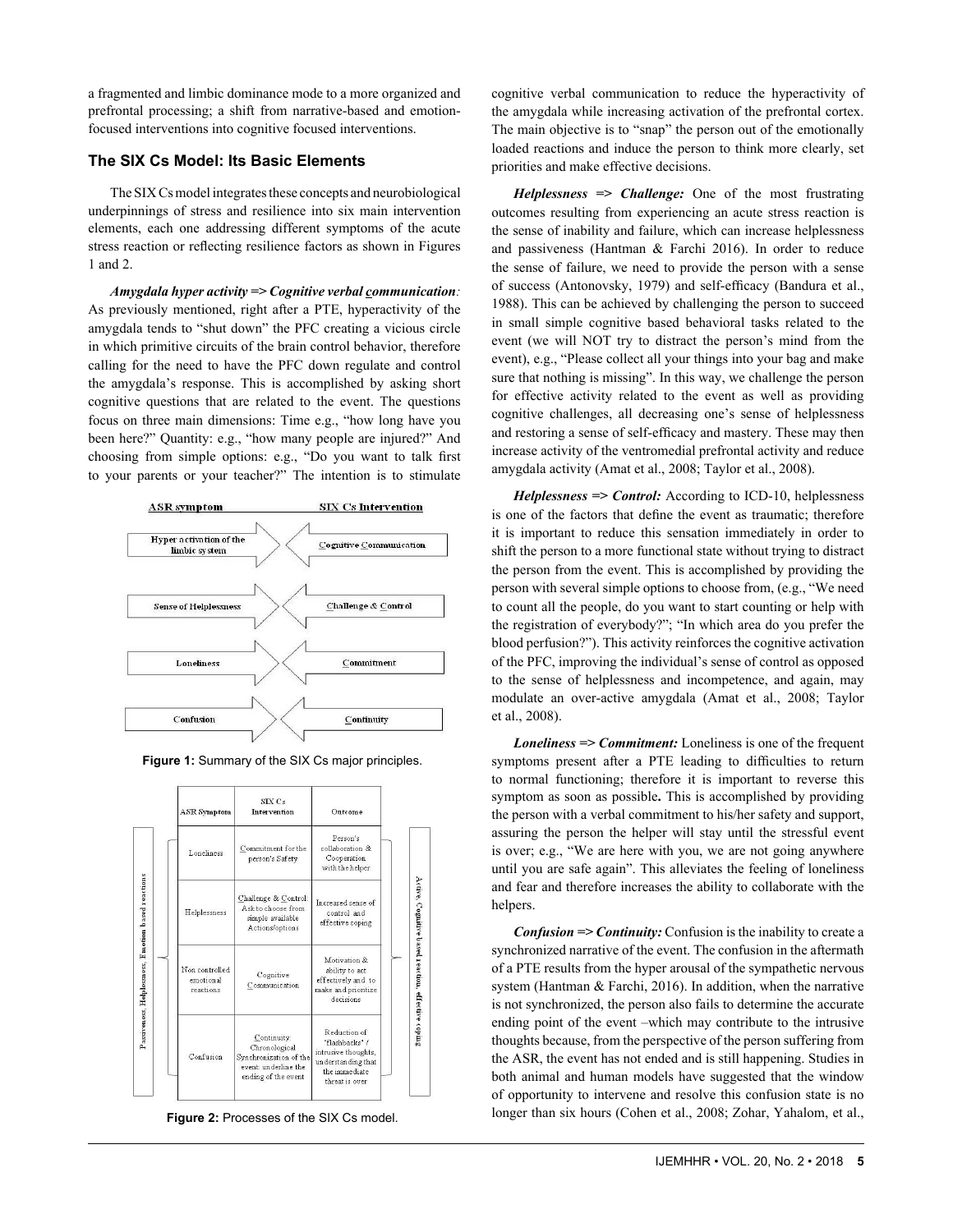a fragmented and limbic dominance mode to a more organized and prefrontal processing; a shift from narrative-based and emotionfocused interventions into cognitive focused interventions.

## **The SIX Cs Model: Its Basic Elements**

The SIX Cs model integrates these concepts and neurobiological underpinnings of stress and resilience into six main intervention elements, each one addressing different symptoms of the acute stress reaction or reflecting resilience factors as shown in Figures 1 and 2.

*Amygdala hyper activity => Cognitive verbal communication:* As previously mentioned, right after a PTE, hyperactivity of the amygdala tends to "shut down" the PFC creating a vicious circle in which primitive circuits of the brain control behavior, therefore calling for the need to have the PFC down regulate and control the amygdala's response. This is accomplished by asking short cognitive questions that are related to the event. The questions focus on three main dimensions: Time e.g., "how long have you been here?" Quantity: e.g., "how many people are injured?" And choosing from simple options: e.g., "Do you want to talk first to your parents or your teacher?" The intention is to stimulate



**Figure 1:** Summary of the SIX Cs major principles.



**Figure 2:** Processes of the SIX Cs model.

cognitive verbal communication to reduce the hyperactivity of the amygdala while increasing activation of the prefrontal cortex. The main objective is to "snap" the person out of the emotionally loaded reactions and induce the person to think more clearly, set priorities and make effective decisions.

*Helplessness => Challenge:* One of the most frustrating outcomes resulting from experiencing an acute stress reaction is the sense of inability and failure, which can increase helplessness and passiveness (Hantman & Farchi 2016). In order to reduce the sense of failure, we need to provide the person with a sense of success (Antonovsky, 1979) and self-efficacy (Bandura et al., 1988). This can be achieved by challenging the person to succeed in small simple cognitive based behavioral tasks related to the event (we will NOT try to distract the person's mind from the event), e.g., "Please collect all your things into your bag and make sure that nothing is missing". In this way, we challenge the person for effective activity related to the event as well as providing cognitive challenges, all decreasing one's sense of helplessness and restoring a sense of self-efficacy and mastery. These may then increase activity of the ventromedial prefrontal activity and reduce amygdala activity (Amat et al., 2008; Taylor et al., 2008).

*Helplessness => Control:* According to ICD-10, helplessness is one of the factors that define the event as traumatic; therefore it is important to reduce this sensation immediately in order to shift the person to a more functional state without trying to distract the person from the event. This is accomplished by providing the person with several simple options to choose from, (e.g., "We need to count all the people, do you want to start counting or help with the registration of everybody?"; "In which area do you prefer the blood perfusion?"). This activity reinforces the cognitive activation of the PFC, improving the individual's sense of control as opposed to the sense of helplessness and incompetence, and again, may modulate an over-active amygdala (Amat et al., 2008; Taylor et al., 2008).

*Loneliness => Commitment:* Loneliness is one of the frequent symptoms present after a PTE leading to difficulties to return to normal functioning; therefore it is important to reverse this symptom as soon as possible**.** This is accomplished by providing the person with a verbal commitment to his/her safety and support, assuring the person the helper will stay until the stressful event is over; e.g., "We are here with you, we are not going anywhere until you are safe again". This alleviates the feeling of loneliness and fear and therefore increases the ability to collaborate with the helpers.

*Confusion => Continuity:* Confusion is the inability to create a synchronized narrative of the event. The confusion in the aftermath of a PTE results from the hyper arousal of the sympathetic nervous system (Hantman & Farchi, 2016). In addition, when the narrative is not synchronized, the person also fails to determine the accurate ending point of the event –which may contribute to the intrusive thoughts because, from the perspective of the person suffering from the ASR, the event has not ended and is still happening. Studies in both animal and human models have suggested that the window of opportunity to intervene and resolve this confusion state is no longer than six hours (Cohen et al., 2008; Zohar, Yahalom, et al.,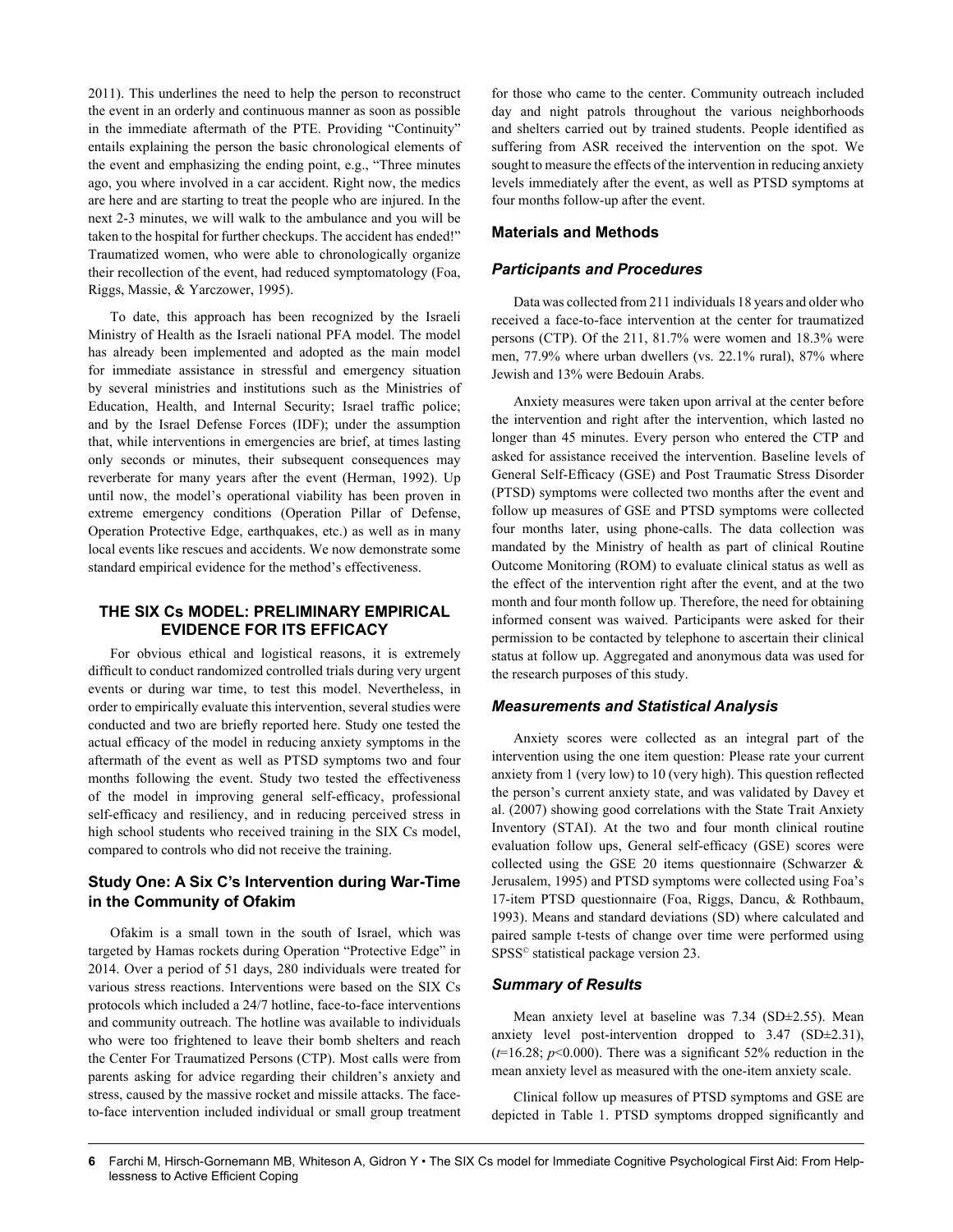2011). This underlines the need to help the person to reconstruct the event in an orderly and continuous manner as soon as possible in the immediate aftermath of the PTE. Providing "Continuity" entails explaining the person the basic chronological elements of the event and emphasizing the ending point, e.g., "Three minutes ago, you where involved in a car accident. Right now, the medics are here and are starting to treat the people who are injured. In the next 2-3 minutes, we will walk to the ambulance and you will be taken to the hospital for further checkups. The accident has ended!" Traumatized women, who were able to chronologically organize their recollection of the event, had reduced symptomatology (Foa, Riggs, Massie, & Yarczower, 1995).

To date, this approach has been recognized by the Israeli Ministry of Health as the Israeli national PFA model. The model has already been implemented and adopted as the main model for immediate assistance in stressful and emergency situation by several ministries and institutions such as the Ministries of Education, Health, and Internal Security; Israel traffic police; and by the Israel Defense Forces (IDF); under the assumption that, while interventions in emergencies are brief, at times lasting only seconds or minutes, their subsequent consequences may reverberate for many years after the event (Herman, 1992). Up until now, the model's operational viability has been proven in extreme emergency conditions (Operation Pillar of Defense, Operation Protective Edge, earthquakes, etc.) as well as in many local events like rescues and accidents. We now demonstrate some standard empirical evidence for the method's effectiveness.

# **THE SIX Cs MODEL: PRELIMINARY EMPIRICAL EVIDENCE FOR ITS EFFICACY**

For obvious ethical and logistical reasons, it is extremely difficult to conduct randomized controlled trials during very urgent events or during war time, to test this model. Nevertheless, in order to empirically evaluate this intervention, several studies were conducted and two are briefly reported here. Study one tested the actual efficacy of the model in reducing anxiety symptoms in the aftermath of the event as well as PTSD symptoms two and four months following the event. Study two tested the effectiveness of the model in improving general self-efficacy, professional self-efficacy and resiliency, and in reducing perceived stress in high school students who received training in the SIX Cs model, compared to controls who did not receive the training.

## **Study One: A Six C's Intervention during War-Time in the Community of Ofakim**

Ofakim is a small town in the south of Israel, which was targeted by Hamas rockets during Operation "Protective Edge" in 2014. Over a period of 51 days, 280 individuals were treated for various stress reactions. Interventions were based on the SIX Cs protocols which included a 24/7 hotline, face-to-face interventions and community outreach. The hotline was available to individuals who were too frightened to leave their bomb shelters and reach the Center For Traumatized Persons (CTP). Most calls were from parents asking for advice regarding their children's anxiety and stress, caused by the massive rocket and missile attacks. The faceto-face intervention included individual or small group treatment for those who came to the center. Community outreach included day and night patrols throughout the various neighborhoods and shelters carried out by trained students. People identified as suffering from ASR received the intervention on the spot. We sought to measure the effects of the intervention in reducing anxiety levels immediately after the event, as well as PTSD symptoms at four months follow-up after the event.

## **Materials and Methods**

#### *Participants and Procedures*

Data was collected from 211 individuals 18 years and older who received a face-to-face intervention at the center for traumatized persons (CTP). Of the 211, 81.7% were women and 18.3% were men, 77.9% where urban dwellers (vs. 22.1% rural), 87% where Jewish and 13% were Bedouin Arabs.

Anxiety measures were taken upon arrival at the center before the intervention and right after the intervention, which lasted no longer than 45 minutes. Every person who entered the CTP and asked for assistance received the intervention. Baseline levels of General Self-Efficacy (GSE) and Post Traumatic Stress Disorder (PTSD) symptoms were collected two months after the event and follow up measures of GSE and PTSD symptoms were collected four months later, using phone-calls. The data collection was mandated by the Ministry of health as part of clinical Routine Outcome Monitoring (ROM) to evaluate clinical status as well as the effect of the intervention right after the event, and at the two month and four month follow up. Therefore, the need for obtaining informed consent was waived. Participants were asked for their permission to be contacted by telephone to ascertain their clinical status at follow up. Aggregated and anonymous data was used for the research purposes of this study.

#### *Measurements and Statistical Analysis*

Anxiety scores were collected as an integral part of the intervention using the one item question: Please rate your current anxiety from 1 (very low) to 10 (very high). This question reflected the person's current anxiety state, and was validated by Davey et al. (2007) showing good correlations with the State Trait Anxiety Inventory (STAI). At the two and four month clinical routine evaluation follow ups, General self-efficacy (GSE) scores were collected using the GSE 20 items questionnaire (Schwarzer & Jerusalem, 1995) and PTSD symptoms were collected using Foa's 17-item PTSD questionnaire (Foa, Riggs, Dancu, & Rothbaum, 1993). Means and standard deviations (SD) where calculated and paired sample t-tests of change over time were performed using SPSS© statistical package version 23.

#### *Summary of Results*

Mean anxiety level at baseline was 7.34 (SD±2.55). Mean anxiety level post-intervention dropped to  $3.47$  (SD $\pm$ 2.31),  $(t=16.28; p<0.000)$ . There was a significant 52% reduction in the mean anxiety level as measured with the one-item anxiety scale.

Clinical follow up measures of PTSD symptoms and GSE are depicted in Table 1. PTSD symptoms dropped significantly and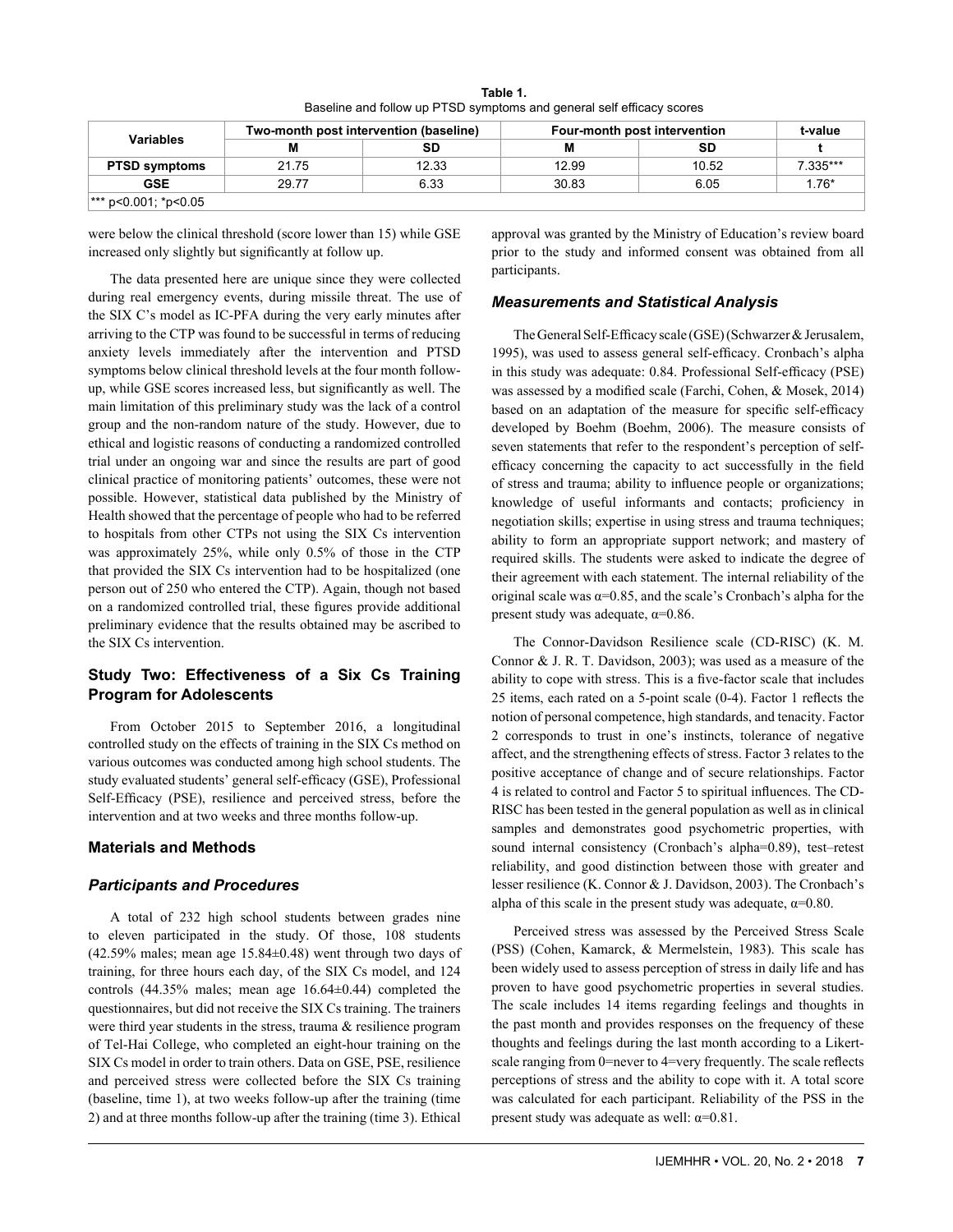| <b>Variables</b>     | Two-month post intervention (baseline) |       | Four-month post intervention |       | t-value    |  |
|----------------------|----------------------------------------|-------|------------------------------|-------|------------|--|
|                      | м                                      | SD    | M                            | SD    |            |  |
| <b>PTSD symptoms</b> | 21.75                                  | 12.33 | 12.99                        | 10.52 | $7.335***$ |  |
| <b>GSE</b>           | 29.77                                  | 6.33  | 30.83                        | 6.05  | $1.76*$    |  |
| *** p<0.001; *p<0.05 |                                        |       |                              |       |            |  |

**Table 1.** Baseline and follow up PTSD symptoms and general self efficacy scores

were below the clinical threshold (score lower than 15) while GSE increased only slightly but significantly at follow up.

The data presented here are unique since they were collected during real emergency events, during missile threat. The use of the SIX C's model as IC-PFA during the very early minutes after arriving to the CTP was found to be successful in terms of reducing anxiety levels immediately after the intervention and PTSD symptoms below clinical threshold levels at the four month followup, while GSE scores increased less, but significantly as well. The main limitation of this preliminary study was the lack of a control group and the non-random nature of the study. However, due to ethical and logistic reasons of conducting a randomized controlled trial under an ongoing war and since the results are part of good clinical practice of monitoring patients' outcomes, these were not possible. However, statistical data published by the Ministry of Health showed that the percentage of people who had to be referred to hospitals from other CTPs not using the SIX Cs intervention was approximately 25%, while only 0.5% of those in the CTP that provided the SIX Cs intervention had to be hospitalized (one person out of 250 who entered the CTP). Again, though not based on a randomized controlled trial, these figures provide additional preliminary evidence that the results obtained may be ascribed to the SIX Cs intervention.

# **Study Two: Effectiveness of a Six Cs Training Program for Adolescents**

From October 2015 to September 2016, a longitudinal controlled study on the effects of training in the SIX Cs method on various outcomes was conducted among high school students. The study evaluated students' general self-efficacy (GSE), Professional Self-Efficacy (PSE), resilience and perceived stress, before the intervention and at two weeks and three months follow-up.

# **Materials and Methods**

## *Participants and Procedures*

A total of 232 high school students between grades nine to eleven participated in the study. Of those, 108 students  $(42.59\%$  males; mean age  $15.84\pm0.48$ ) went through two days of training, for three hours each day, of the SIX Cs model, and 124 controls (44.35% males; mean age 16.64±0.44) completed the questionnaires, but did not receive the SIX Cs training. The trainers were third year students in the stress, trauma & resilience program of Tel-Hai College, who completed an eight-hour training on the SIX Cs model in order to train others. Data on GSE, PSE, resilience and perceived stress were collected before the SIX Cs training (baseline, time 1), at two weeks follow-up after the training (time 2) and at three months follow-up after the training (time 3). Ethical approval was granted by the Ministry of Education's review board prior to the study and informed consent was obtained from all participants.

## *Measurements and Statistical Analysis*

The General Self-Efficacy scale (GSE) (Schwarzer & Jerusalem, 1995), was used to assess general self-efficacy. Cronbach's alpha in this study was adequate: 0.84. Professional Self-efficacy (PSE) was assessed by a modified scale (Farchi, Cohen, & Mosek, 2014) based on an adaptation of the measure for specific self-efficacy developed by Boehm (Boehm, 2006). The measure consists of seven statements that refer to the respondent's perception of selfefficacy concerning the capacity to act successfully in the field of stress and trauma; ability to influence people or organizations; knowledge of useful informants and contacts; proficiency in negotiation skills; expertise in using stress and trauma techniques; ability to form an appropriate support network; and mastery of required skills. The students were asked to indicate the degree of their agreement with each statement. The internal reliability of the original scale was  $\alpha$ =0.85, and the scale's Cronbach's alpha for the present study was adequate,  $\alpha$ =0.86.

The Connor-Davidson Resilience scale (CD-RISC) (K. M. Connor & J. R. T. Davidson, 2003); was used as a measure of the ability to cope with stress. This is a five-factor scale that includes 25 items, each rated on a 5-point scale (0-4). Factor 1 reflects the notion of personal competence, high standards, and tenacity. Factor 2 corresponds to trust in one's instincts, tolerance of negative affect, and the strengthening effects of stress. Factor 3 relates to the positive acceptance of change and of secure relationships. Factor 4 is related to control and Factor 5 to spiritual influences. The CD-RISC has been tested in the general population as well as in clinical samples and demonstrates good psychometric properties, with sound internal consistency (Cronbach's alpha=0.89), test–retest reliability, and good distinction between those with greater and lesser resilience (K. Connor & J. Davidson, 2003). The Cronbach's alpha of this scale in the present study was adequate,  $\alpha = 0.80$ .

Perceived stress was assessed by the Perceived Stress Scale (PSS) (Cohen, Kamarck, & Mermelstein, 1983). This scale has been widely used to assess perception of stress in daily life and has proven to have good psychometric properties in several studies. The scale includes 14 items regarding feelings and thoughts in the past month and provides responses on the frequency of these thoughts and feelings during the last month according to a Likertscale ranging from 0=never to 4=very frequently. The scale reflects perceptions of stress and the ability to cope with it. A total score was calculated for each participant. Reliability of the PSS in the present study was adequate as well:  $\alpha = 0.81$ .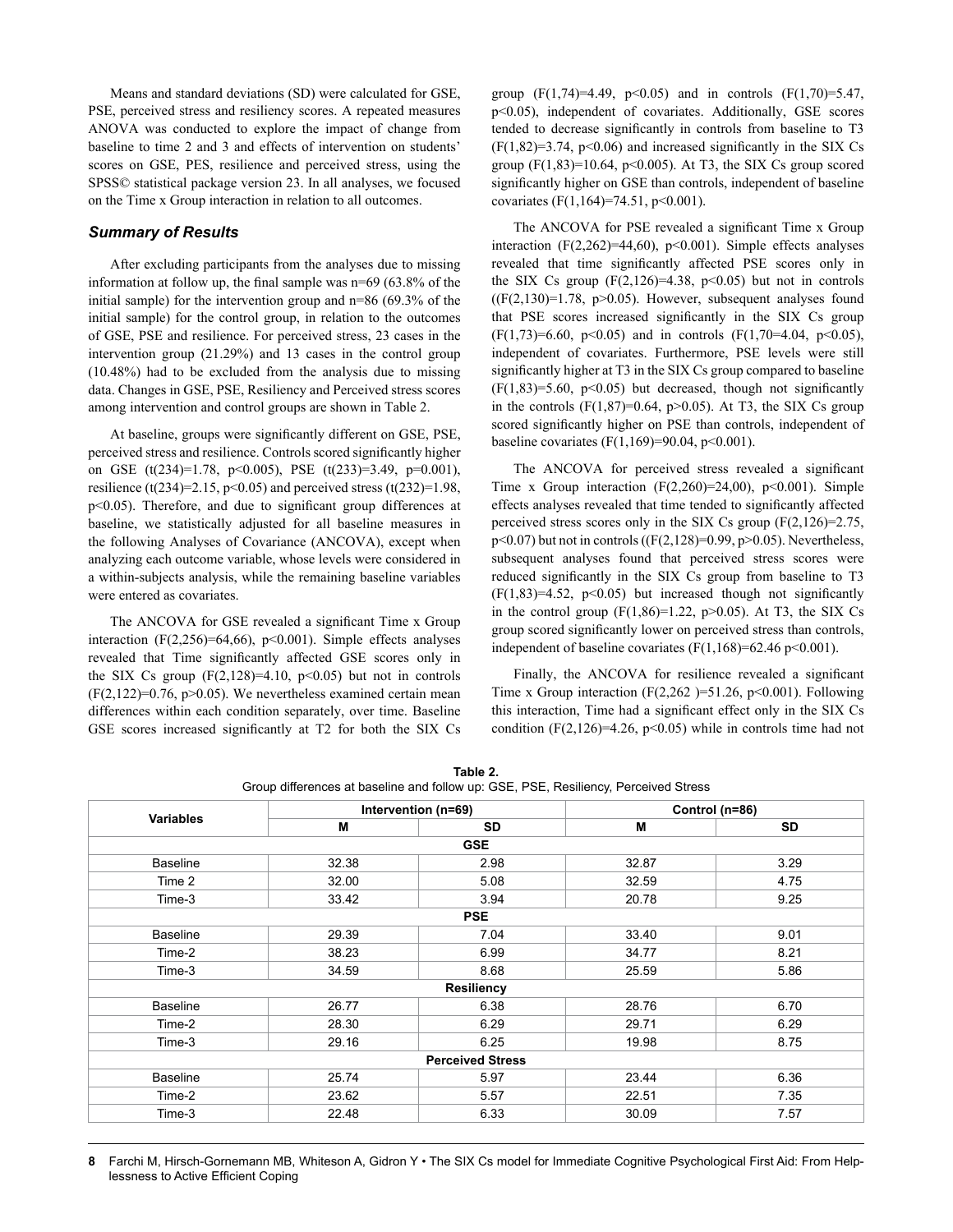Means and standard deviations (SD) were calculated for GSE, PSE, perceived stress and resiliency scores. A repeated measures ANOVA was conducted to explore the impact of change from baseline to time 2 and 3 and effects of intervention on students' scores on GSE, PES, resilience and perceived stress, using the SPSS© statistical package version 23. In all analyses, we focused on the Time x Group interaction in relation to all outcomes.

#### *Summary of Results*

After excluding participants from the analyses due to missing information at follow up, the final sample was n=69 (63.8% of the initial sample) for the intervention group and n=86 (69.3% of the initial sample) for the control group, in relation to the outcomes of GSE, PSE and resilience. For perceived stress, 23 cases in the intervention group (21.29%) and 13 cases in the control group (10.48%) had to be excluded from the analysis due to missing data. Changes in GSE, PSE, Resiliency and Perceived stress scores among intervention and control groups are shown in Table 2.

At baseline, groups were significantly different on GSE, PSE, perceived stress and resilience. Controls scored significantly higher on GSE (t(234)=1.78, p<0.005), PSE (t(233)=3.49, p=0.001), resilience (t(234)=2.15,  $p$ <0.05) and perceived stress (t(232)=1.98, p<0.05). Therefore, and due to significant group differences at baseline, we statistically adjusted for all baseline measures in the following Analyses of Covariance (ANCOVA), except when analyzing each outcome variable, whose levels were considered in a within-subjects analysis, while the remaining baseline variables were entered as covariates.

The ANCOVA for GSE revealed a significant Time x Group interaction (F $(2,256)$ =64,66), p<0.001). Simple effects analyses revealed that Time significantly affected GSE scores only in the SIX Cs group  $(F(2, 128)=4.10, p<0.05)$  but not in controls  $(F(2,122)=0.76, p>0.05)$ . We nevertheless examined certain mean differences within each condition separately, over time. Baseline GSE scores increased significantly at T2 for both the SIX Cs

group  $(F(1,74)=4.49, p<0.05)$  and in controls  $(F(1,70)=5.47,$ p<0.05), independent of covariates. Additionally, GSE scores tended to decrease significantly in controls from baseline to T3  $(F(1,82)=3.74, p<0.06)$  and increased significantly in the SIX Cs group  $(F(1,83)=10.64, p<0.005)$ . At T3, the SIX Cs group scored significantly higher on GSE than controls, independent of baseline covariates (F(1,164)=74.51, p<0.001).

The ANCOVA for PSE revealed a significant Time x Group interaction  $(F(2,262)=44,60)$ ,  $p<0.001$ ). Simple effects analyses revealed that time significantly affected PSE scores only in the SIX Cs group  $(F(2,126)=4.38, p<0.05)$  but not in controls  $((F(2,130)=1.78, p>0.05)$ . However, subsequent analyses found that PSE scores increased significantly in the SIX Cs group  $(F(1,73)=6.60, p<0.05)$  and in controls  $(F(1,70=4.04, p<0.05))$ , independent of covariates. Furthermore, PSE levels were still significantly higher at T3 in the SIX Cs group compared to baseline  $(F(1,83)=5.60, p<0.05)$  but decreased, though not significantly in the controls  $(F(1,87)=0.64, p>0.05)$ . At T3, the SIX Cs group scored significantly higher on PSE than controls, independent of baseline covariates (F(1,169)=90.04, p<0.001).

The ANCOVA for perceived stress revealed a significant Time x Group interaction  $(F(2,260)=24,00)$ , p<0.001). Simple effects analyses revealed that time tended to significantly affected perceived stress scores only in the SIX Cs group (F(2,126)=2.75,  $p<0.07$ ) but not in controls ((F(2,128)=0.99, p>0.05). Nevertheless, subsequent analyses found that perceived stress scores were reduced significantly in the SIX Cs group from baseline to T3  $(F(1,83)=4.52, p<0.05)$  but increased though not significantly in the control group  $(F(1,86)=1.22, p>0.05)$ . At T3, the SIX Cs group scored significantly lower on perceived stress than controls, independent of baseline covariates  $(F(1,168)=62.46 \text{ p} < 0.001)$ .

Finally, the ANCOVA for resilience revealed a significant Time x Group interaction (F(2,262 )=51.26, p<0.001). Following this interaction, Time had a significant effect only in the SIX Cs condition (F $(2,126)$ =4.26, p<0.05) while in controls time had not

|                  | Intervention (n=69) |                         | Control (n=86) |           |
|------------------|---------------------|-------------------------|----------------|-----------|
| <b>Variables</b> | M                   | <b>SD</b>               | M              | <b>SD</b> |
|                  |                     | <b>GSE</b>              |                |           |
| <b>Baseline</b>  | 32.38               | 2.98                    | 32.87          | 3.29      |
| Time 2           | 32.00               | 5.08                    | 32.59          | 4.75      |
| Time-3           | 33.42               | 3.94                    | 20.78          | 9.25      |
|                  |                     | <b>PSE</b>              |                |           |
| <b>Baseline</b>  | 29.39               | 7.04                    | 33.40          | 9.01      |
| Time-2           | 38.23               | 6.99                    | 34.77          | 8.21      |
| Time-3           | 34.59               | 8.68                    | 25.59          | 5.86      |
|                  |                     | <b>Resiliency</b>       |                |           |
| <b>Baseline</b>  | 26.77               | 6.38                    | 28.76          | 6.70      |
| Time-2           | 28.30               | 6.29                    | 29.71          | 6.29      |
| Time-3           | 29.16               | 6.25                    | 19.98          | 8.75      |
|                  |                     | <b>Perceived Stress</b> |                |           |
| <b>Baseline</b>  | 25.74               | 5.97                    | 23.44          | 6.36      |
| Time-2           | 23.62               | 5.57                    | 22.51          | 7.35      |
| Time-3           | 22.48               | 6.33                    | 30.09          | 7.57      |

**Table 2.**  Group differences at baseline and follow up: GSE, PSE, Resiliency, Perceived Stress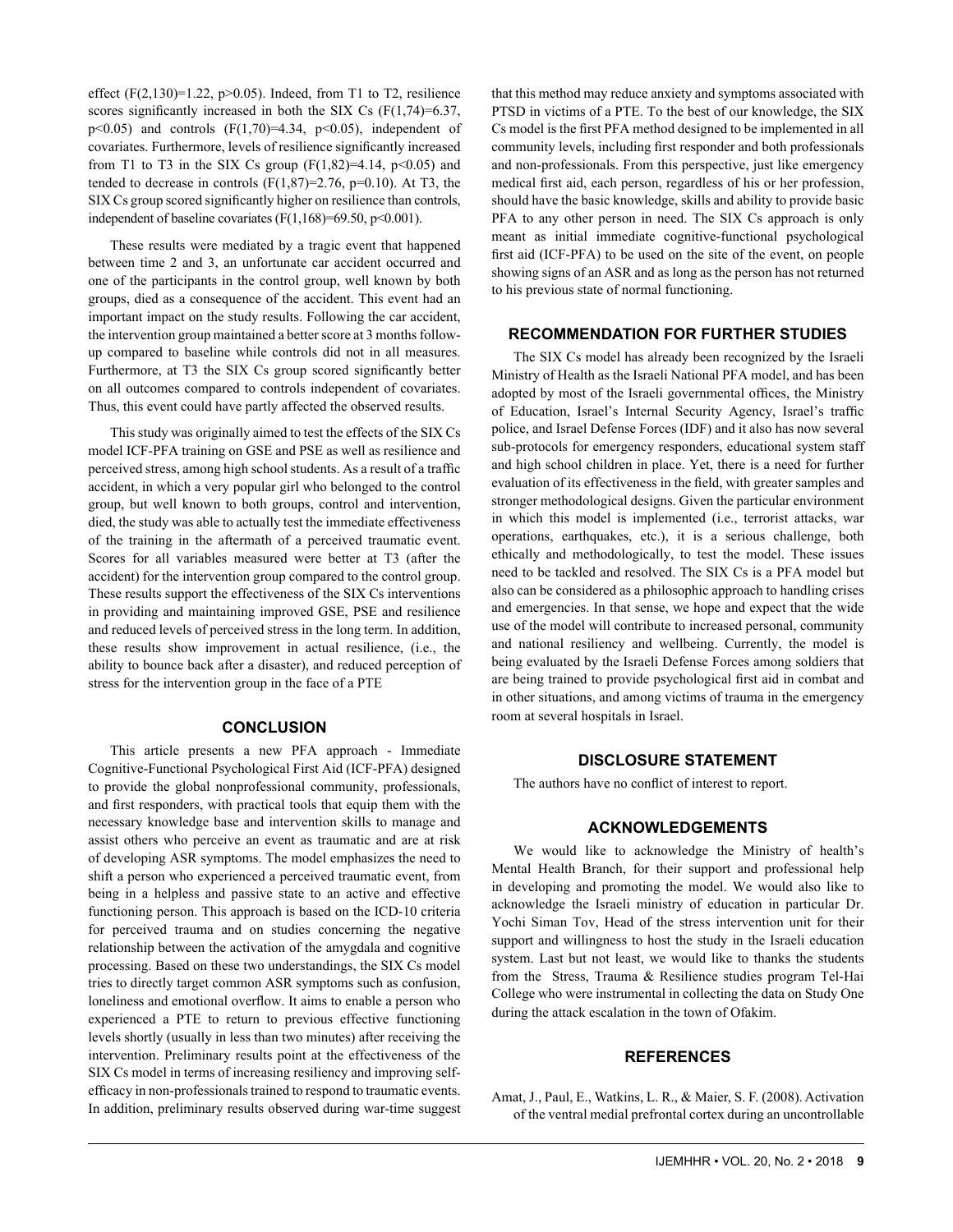effect  $(F(2,130)=1.22, p>0.05)$ . Indeed, from T1 to T2, resilience scores significantly increased in both the SIX Cs  $(F(1,74)=6.37)$ ,  $p<0.05$ ) and controls  $(F(1,70)=4.34, p<0.05)$ , independent of covariates. Furthermore, levels of resilience significantly increased from T1 to T3 in the SIX Cs group  $(F(1,82)=4.14, p<0.05)$  and tended to decrease in controls  $(F(1,87)=2.76, p=0.10)$ . At T3, the SIX Cs group scored significantly higher on resilience than controls, independent of baseline covariates (F $(1,168)$ =69.50, p<0.001).

These results were mediated by a tragic event that happened between time 2 and 3, an unfortunate car accident occurred and one of the participants in the control group, well known by both groups, died as a consequence of the accident. This event had an important impact on the study results. Following the car accident, the intervention group maintained a better score at 3 months followup compared to baseline while controls did not in all measures. Furthermore, at T3 the SIX Cs group scored significantly better on all outcomes compared to controls independent of covariates. Thus, this event could have partly affected the observed results.

This study was originally aimed to test the effects of the SIX Cs model ICF-PFA training on GSE and PSE as well as resilience and perceived stress, among high school students. As a result of a traffic accident, in which a very popular girl who belonged to the control group, but well known to both groups, control and intervention, died, the study was able to actually test the immediate effectiveness of the training in the aftermath of a perceived traumatic event. Scores for all variables measured were better at T3 (after the accident) for the intervention group compared to the control group. These results support the effectiveness of the SIX Cs interventions in providing and maintaining improved GSE, PSE and resilience and reduced levels of perceived stress in the long term. In addition, these results show improvement in actual resilience, (i.e., the ability to bounce back after a disaster), and reduced perception of stress for the intervention group in the face of a PTE

#### **CONCLUSION**

This article presents a new PFA approach - Immediate Cognitive-Functional Psychological First Aid (ICF-PFA) designed to provide the global nonprofessional community, professionals, and first responders, with practical tools that equip them with the necessary knowledge base and intervention skills to manage and assist others who perceive an event as traumatic and are at risk of developing ASR symptoms. The model emphasizes the need to shift a person who experienced a perceived traumatic event, from being in a helpless and passive state to an active and effective functioning person. This approach is based on the ICD-10 criteria for perceived trauma and on studies concerning the negative relationship between the activation of the amygdala and cognitive processing. Based on these two understandings, the SIX Cs model tries to directly target common ASR symptoms such as confusion, loneliness and emotional overflow. It aims to enable a person who experienced a PTE to return to previous effective functioning levels shortly (usually in less than two minutes) after receiving the intervention. Preliminary results point at the effectiveness of the SIX Cs model in terms of increasing resiliency and improving selfefficacy in non-professionals trained to respond to traumatic events. In addition, preliminary results observed during war-time suggest that this method may reduce anxiety and symptoms associated with PTSD in victims of a PTE. To the best of our knowledge, the SIX Cs model is the first PFA method designed to be implemented in all community levels, including first responder and both professionals and non-professionals. From this perspective, just like emergency medical first aid, each person, regardless of his or her profession, should have the basic knowledge, skills and ability to provide basic PFA to any other person in need. The SIX Cs approach is only meant as initial immediate cognitive-functional psychological first aid (ICF-PFA) to be used on the site of the event, on people showing signs of an ASR and as long as the person has not returned to his previous state of normal functioning.

#### **RECOMMENDATION FOR FURTHER STUDIES**

The SIX Cs model has already been recognized by the Israeli Ministry of Health as the Israeli National PFA model, and has been adopted by most of the Israeli governmental offices, the Ministry of Education, Israel's Internal Security Agency, Israel's traffic police, and Israel Defense Forces (IDF) and it also has now several sub-protocols for emergency responders, educational system staff and high school children in place. Yet, there is a need for further evaluation of its effectiveness in the field, with greater samples and stronger methodological designs. Given the particular environment in which this model is implemented (i.e., terrorist attacks, war operations, earthquakes, etc.), it is a serious challenge, both ethically and methodologically, to test the model. These issues need to be tackled and resolved. The SIX Cs is a PFA model but also can be considered as a philosophic approach to handling crises and emergencies. In that sense, we hope and expect that the wide use of the model will contribute to increased personal, community and national resiliency and wellbeing. Currently, the model is being evaluated by the Israeli Defense Forces among soldiers that are being trained to provide psychological first aid in combat and in other situations, and among victims of trauma in the emergency room at several hospitals in Israel.

#### **DISCLOSURE STATEMENT**

The authors have no conflict of interest to report.

#### **ACKNOWLEDGEMENTS**

We would like to acknowledge the Ministry of health's Mental Health Branch, for their support and professional help in developing and promoting the model. We would also like to acknowledge the Israeli ministry of education in particular Dr. Yochi Siman Tov, Head of the stress intervention unit for their support and willingness to host the study in the Israeli education system. Last but not least, we would like to thanks the students from the Stress, Trauma & Resilience studies program Tel-Hai College who were instrumental in collecting the data on Study One during the attack escalation in the town of Ofakim.

# **REFERENCES**

Amat, J., Paul, E., Watkins, L. R., & Maier, S. F. (2008). Activation of the ventral medial prefrontal cortex during an uncontrollable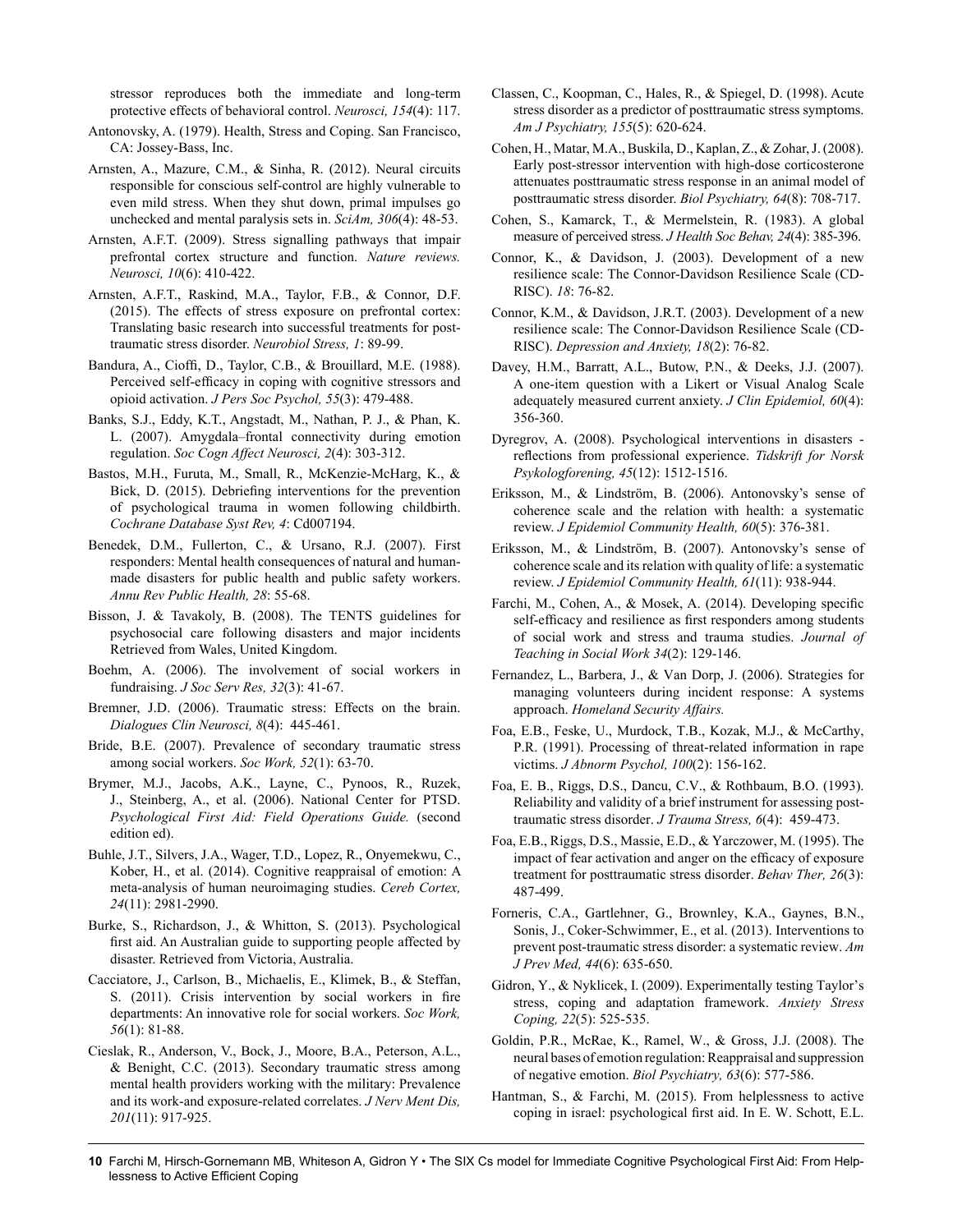stressor reproduces both the immediate and long-term protective effects of behavioral control. *Neurosci, 154*(4): 117.

- Antonovsky, A. (1979). Health, Stress and Coping. San Francisco, CA: Jossey-Bass, Inc.
- Arnsten, A., Mazure, C.M., & Sinha, R. (2012). Neural circuits responsible for conscious self-control are highly vulnerable to even mild stress. When they shut down, primal impulses go unchecked and mental paralysis sets in. *SciAm, 306*(4): 48-53.
- Arnsten, A.F.T. (2009). Stress signalling pathways that impair prefrontal cortex structure and function. *Nature reviews. Neurosci, 10*(6): 410-422.
- Arnsten, A.F.T., Raskind, M.A., Taylor, F.B., & Connor, D.F. (2015). The effects of stress exposure on prefrontal cortex: Translating basic research into successful treatments for posttraumatic stress disorder. *Neurobiol Stress, 1*: 89-99.
- Bandura, A., Cioffi, D., Taylor, C.B., & Brouillard, M.E. (1988). Perceived self-efficacy in coping with cognitive stressors and opioid activation. *J Pers Soc Psychol, 55*(3): 479-488.
- Banks, S.J., Eddy, K.T., Angstadt, M., Nathan, P. J., & Phan, K. L. (2007). Amygdala–frontal connectivity during emotion regulation. *Soc Cogn Affect Neurosci, 2*(4): 303-312.
- Bastos, M.H., Furuta, M., Small, R., McKenzie-McHarg, K., & Bick, D. (2015). Debriefing interventions for the prevention of psychological trauma in women following childbirth. *Cochrane Database Syst Rev, 4*: Cd007194.
- Benedek, D.M., Fullerton, C., & Ursano, R.J. (2007). First responders: Mental health consequences of natural and humanmade disasters for public health and public safety workers. *Annu Rev Public Health, 28*: 55-68.
- Bisson, J. & Tavakoly, B. (2008). The TENTS guidelines for psychosocial care following disasters and major incidents Retrieved from Wales, United Kingdom.
- Boehm, A. (2006). The involvement of social workers in fundraising. *J Soc Serv Res, 32*(3): 41-67.
- Bremner, J.D. (2006). Traumatic stress: Effects on the brain. *Dialogues Clin Neurosci, 8*(4): 445-461.
- Bride, B.E. (2007). Prevalence of secondary traumatic stress among social workers. *Soc Work, 52*(1): 63-70.
- Brymer, M.J., Jacobs, A.K., Layne, C., Pynoos, R., Ruzek, J., Steinberg, A., et al. (2006). National Center for PTSD. *Psychological First Aid: Field Operations Guide.* (second edition ed).
- Buhle, J.T., Silvers, J.A., Wager, T.D., Lopez, R., Onyemekwu, C., Kober, H., et al. (2014). Cognitive reappraisal of emotion: A meta-analysis of human neuroimaging studies. *Cereb Cortex, 24*(11): 2981-2990.
- Burke, S., Richardson, J., & Whitton, S. (2013). Psychological first aid. An Australian guide to supporting people affected by disaster. Retrieved from Victoria, Australia.
- Cacciatore, J., Carlson, B., Michaelis, E., Klimek, B., & Steffan, S. (2011). Crisis intervention by social workers in fire departments: An innovative role for social workers. *Soc Work, 56*(1): 81-88.
- Cieslak, R., Anderson, V., Bock, J., Moore, B.A., Peterson, A.L., & Benight, C.C. (2013). Secondary traumatic stress among mental health providers working with the military: Prevalence and its work-and exposure-related correlates. *J Nerv Ment Dis, 201*(11): 917-925.
- Classen, C., Koopman, C., Hales, R., & Spiegel, D. (1998). Acute stress disorder as a predictor of posttraumatic stress symptoms. *Am J Psychiatry, 155*(5): 620-624.
- Cohen, H., Matar, M.A., Buskila, D., Kaplan, Z., & Zohar, J. (2008). Early post-stressor intervention with high-dose corticosterone attenuates posttraumatic stress response in an animal model of posttraumatic stress disorder. *Biol Psychiatry, 64*(8): 708-717.
- Cohen, S., Kamarck, T., & Mermelstein, R. (1983). A global measure of perceived stress. *J Health Soc Behav, 24*(4): 385-396.
- Connor, K., & Davidson, J. (2003). Development of a new resilience scale: The Connor-Davidson Resilience Scale (CD-RISC). *18*: 76-82.
- Connor, K.M., & Davidson, J.R.T. (2003). Development of a new resilience scale: The Connor-Davidson Resilience Scale (CD-RISC). *Depression and Anxiety, 18*(2): 76-82.
- Davey, H.M., Barratt, A.L., Butow, P.N., & Deeks, J.J. (2007). A one-item question with a Likert or Visual Analog Scale adequately measured current anxiety. *J Clin Epidemiol, 60*(4): 356-360.
- Dyregrov, A. (2008). Psychological interventions in disasters reflections from professional experience. *Tidskrift for Norsk Psykologforening, 45*(12): 1512-1516.
- Eriksson, M., & Lindström, B. (2006). Antonovsky's sense of coherence scale and the relation with health: a systematic review. *J Epidemiol Community Health, 60*(5): 376-381.
- Eriksson, M., & Lindström, B. (2007). Antonovsky's sense of coherence scale and its relation with quality of life: a systematic review. *J Epidemiol Community Health, 61*(11): 938-944.
- Farchi, M., Cohen, A., & Mosek, A. (2014). Developing specific self-efficacy and resilience as first responders among students of social work and stress and trauma studies. *Journal of Teaching in Social Work 34*(2): 129-146.
- Fernandez, L., Barbera, J., & Van Dorp, J. (2006). Strategies for managing volunteers during incident response: A systems approach. *Homeland Security Affairs.*
- Foa, E.B., Feske, U., Murdock, T.B., Kozak, M.J., & McCarthy, P.R. (1991). Processing of threat-related information in rape victims. *J Abnorm Psychol, 100*(2): 156-162.
- Foa, E. B., Riggs, D.S., Dancu, C.V., & Rothbaum, B.O. (1993). Reliability and validity of a brief instrument for assessing posttraumatic stress disorder. *J Trauma Stress, 6*(4): 459-473.
- Foa, E.B., Riggs, D.S., Massie, E.D., & Yarczower, M. (1995). The impact of fear activation and anger on the efficacy of exposure treatment for posttraumatic stress disorder. *Behav Ther, 26*(3): 487-499.
- Forneris, C.A., Gartlehner, G., Brownley, K.A., Gaynes, B.N., Sonis, J., Coker-Schwimmer, E., et al. (2013). Interventions to prevent post-traumatic stress disorder: a systematic review. *Am J Prev Med, 44*(6): 635-650.
- Gidron, Y., & Nyklicek, I. (2009). Experimentally testing Taylor's stress, coping and adaptation framework. *Anxiety Stress Coping, 22*(5): 525-535.
- Goldin, P.R., McRae, K., Ramel, W., & Gross, J.J. (2008). The neural bases of emotion regulation: Reappraisal and suppression of negative emotion. *Biol Psychiatry, 63*(6): 577-586.
- Hantman, S., & Farchi, M. (2015). From helplessness to active coping in israel: psychological first aid. In E. W. Schott, E.L.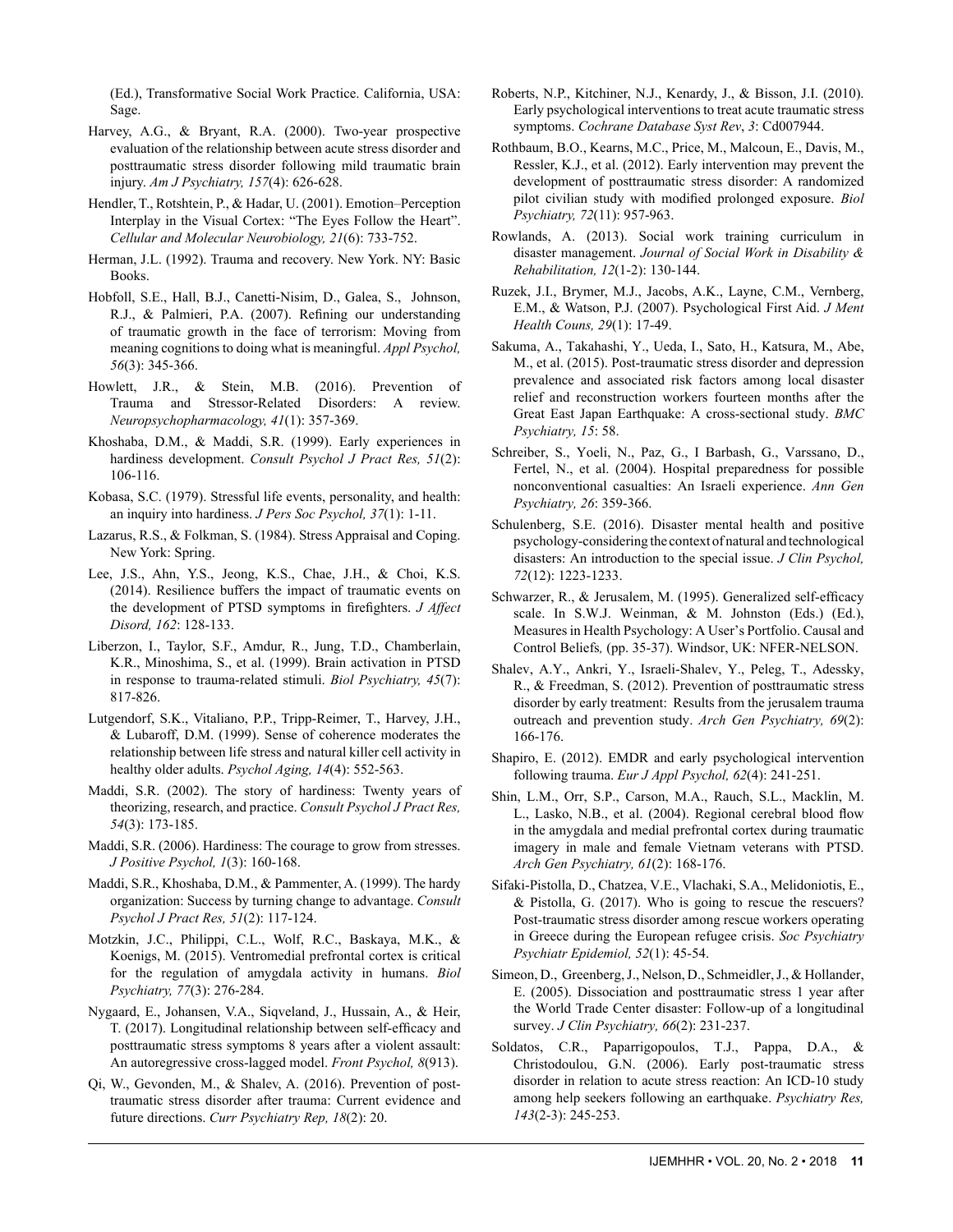(Ed.), Transformative Social Work Practice. California, USA: Sage.

- Harvey, A.G., & Bryant, R.A. (2000). Two-year prospective evaluation of the relationship between acute stress disorder and posttraumatic stress disorder following mild traumatic brain injury. *Am J Psychiatry, 157*(4): 626-628.
- Hendler, T., Rotshtein, P., & Hadar, U. (2001). Emotion–Perception Interplay in the Visual Cortex: "The Eyes Follow the Heart". *Cellular and Molecular Neurobiology, 21*(6): 733-752.
- Herman, J.L. (1992). Trauma and recovery. New York. NY: Basic Books.
- Hobfoll, S.E., Hall, B.J., Canetti-Nisim, D., Galea, S., Johnson, R.J., & Palmieri, P.A. (2007). Refining our understanding of traumatic growth in the face of terrorism: Moving from meaning cognitions to doing what is meaningful. *Appl Psychol, 56*(3): 345-366.
- Howlett, J.R., & Stein, M.B. (2016). Prevention of Trauma and Stressor-Related Disorders: A review. *Neuropsychopharmacology, 41*(1): 357-369.
- Khoshaba, D.M., & Maddi, S.R. (1999). Early experiences in hardiness development. *Consult Psychol J Pract Res, 51*(2): 106-116.
- Kobasa, S.C. (1979). Stressful life events, personality, and health: an inquiry into hardiness. *J Pers Soc Psychol, 37*(1): 1-11.
- Lazarus, R.S., & Folkman, S. (1984). Stress Appraisal and Coping. New York: Spring.
- Lee, J.S., Ahn, Y.S., Jeong, K.S., Chae, J.H., & Choi, K.S. (2014). Resilience buffers the impact of traumatic events on the development of PTSD symptoms in firefighters. *J Affect Disord, 162*: 128-133.
- Liberzon, I., Taylor, S.F., Amdur, R., Jung, T.D., Chamberlain, K.R., Minoshima, S., et al. (1999). Brain activation in PTSD in response to trauma-related stimuli. *Biol Psychiatry, 45*(7): 817-826.
- Lutgendorf, S.K., Vitaliano, P.P., Tripp-Reimer, T., Harvey, J.H., & Lubaroff, D.M. (1999). Sense of coherence moderates the relationship between life stress and natural killer cell activity in healthy older adults. *Psychol Aging, 14*(4): 552-563.
- Maddi, S.R. (2002). The story of hardiness: Twenty years of theorizing, research, and practice. *Consult Psychol J Pract Res, 54*(3): 173-185.
- Maddi, S.R. (2006). Hardiness: The courage to grow from stresses. *J Positive Psychol, 1*(3): 160-168.
- Maddi, S.R., Khoshaba, D.M., & Pammenter, A. (1999). The hardy organization: Success by turning change to advantage. *Consult Psychol J Pract Res, 51*(2): 117-124.
- Motzkin, J.C., Philippi, C.L., Wolf, R.C., Baskaya, M.K., & Koenigs, M. (2015). Ventromedial prefrontal cortex is critical for the regulation of amygdala activity in humans. *Biol Psychiatry, 77*(3): 276-284.
- Nygaard, E., Johansen, V.A., Siqveland, J., Hussain, A., & Heir, T. (2017). Longitudinal relationship between self-efficacy and posttraumatic stress symptoms 8 years after a violent assault: An autoregressive cross-lagged model. *Front Psychol, 8*(913).
- Qi, W., Gevonden, M., & Shalev, A. (2016). Prevention of posttraumatic stress disorder after trauma: Current evidence and future directions. *Curr Psychiatry Rep, 18*(2): 20.
- Roberts, N.P., Kitchiner, N.J., Kenardy, J., & Bisson, J.I. (2010). Early psychological interventions to treat acute traumatic stress symptoms. *Cochrane Database Syst Rev*, *3*: Cd007944.
- Rothbaum, B.O., Kearns, M.C., Price, M., Malcoun, E., Davis, M., Ressler, K.J., et al. (2012). Early intervention may prevent the development of posttraumatic stress disorder: A randomized pilot civilian study with modified prolonged exposure. *Biol Psychiatry, 72*(11): 957-963.
- Rowlands, A. (2013). Social work training curriculum in disaster management. *Journal of Social Work in Disability & Rehabilitation, 12*(1-2): 130-144.
- Ruzek, J.I., Brymer, M.J., Jacobs, A.K., Layne, C.M., Vernberg, E.M., & Watson, P.J. (2007). Psychological First Aid. *J Ment Health Couns, 29*(1): 17-49.
- Sakuma, A., Takahashi, Y., Ueda, I., Sato, H., Katsura, M., Abe, M., et al. (2015). Post-traumatic stress disorder and depression prevalence and associated risk factors among local disaster relief and reconstruction workers fourteen months after the Great East Japan Earthquake: A cross-sectional study. *BMC Psychiatry, 15*: 58.
- Schreiber, S., Yoeli, N., Paz, G., I Barbash, G., Varssano, D., Fertel, N., et al. (2004). Hospital preparedness for possible nonconventional casualties: An Israeli experience. *Ann Gen Psychiatry, 26*: 359-366.
- Schulenberg, S.E. (2016). Disaster mental health and positive psychology-considering the context of natural and technological disasters: An introduction to the special issue. *J Clin Psychol, 72*(12): 1223-1233.
- Schwarzer, R., & Jerusalem, M. (1995). Generalized self-efficacy scale. In S.W.J. Weinman, & M. Johnston (Eds.) (Ed.), Measures in Health Psychology: A User's Portfolio. Causal and Control Beliefs*,* (pp. 35-37). Windsor, UK: NFER-NELSON.
- Shalev, A.Y., Ankri, Y., Israeli-Shalev, Y., Peleg, T., Adessky, R., & Freedman, S. (2012). Prevention of posttraumatic stress disorder by early treatment: Results from the jerusalem trauma outreach and prevention study. *Arch Gen Psychiatry, 69*(2): 166-176.
- Shapiro, E. (2012). EMDR and early psychological intervention following trauma. *Eur J Appl Psychol, 62*(4): 241-251.
- Shin, L.M., Orr, S.P., Carson, M.A., Rauch, S.L., Macklin, M. L., Lasko, N.B., et al. (2004). Regional cerebral blood flow in the amygdala and medial prefrontal cortex during traumatic imagery in male and female Vietnam veterans with PTSD. *Arch Gen Psychiatry, 61*(2): 168-176.
- Sifaki-Pistolla, D., Chatzea, V.E., Vlachaki, S.A., Melidoniotis, E., & Pistolla, G. (2017). Who is going to rescue the rescuers? Post-traumatic stress disorder among rescue workers operating in Greece during the European refugee crisis. *Soc Psychiatry Psychiatr Epidemiol, 52*(1): 45-54.
- Simeon, D., Greenberg, J., Nelson, D., Schmeidler, J., & Hollander, E. (2005). Dissociation and posttraumatic stress 1 year after the World Trade Center disaster: Follow-up of a longitudinal survey. *J Clin Psychiatry, 66*(2): 231-237.
- Soldatos, C.R., Paparrigopoulos, T.J., Pappa, D.A., & Christodoulou, G.N. (2006). Early post-traumatic stress disorder in relation to acute stress reaction: An ICD-10 study among help seekers following an earthquake. *Psychiatry Res, 143*(2-3): 245-253.